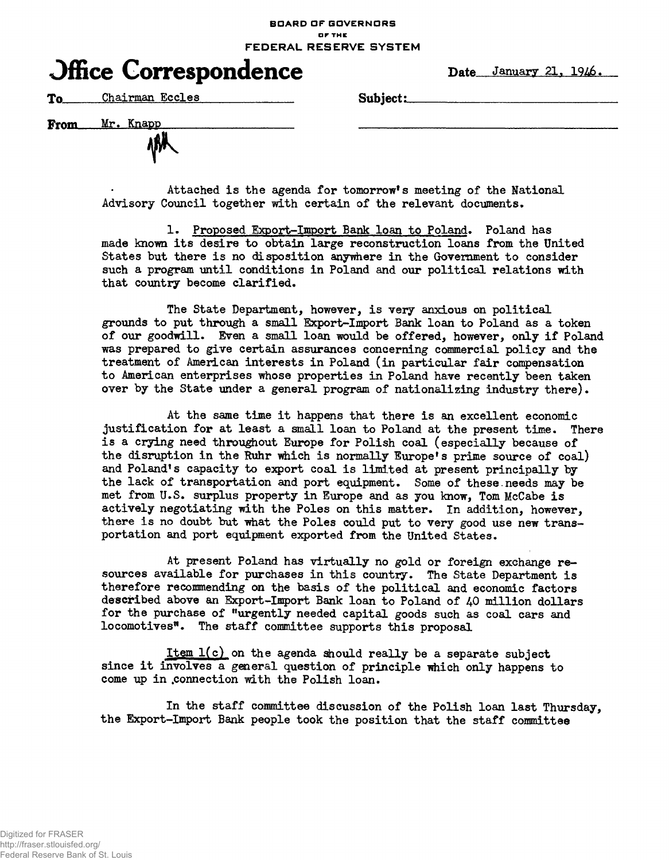## **BOARD OF GOVERNORS or THE FEDERAL RESERVE SYSTEM**

## **Office Correspondence** Date January 21, 1946.

**To** Chairman Eccles Subject:

*Vrnm* **Mr. Knapp**

Attached is the agenda for tomorrow's meeting of the National Advisory Council together with certain of the relevant documents.

1. Proposed Export-Import Bank loan to Poland. Poland has made known its desire to obtain large reconstruction loans from the United States but there is no disposition anywhere in the Government to consider such a program until conditions in Poland and our political relations with that country become clarified.

The State Department, however, is very anxious on political grounds to put through a small Export-Import Bank loan to Poland as a token of our goodwill. Even a small loan would be offered, however, only if Poland was prepared to give certain assurances concerning commercial policy and the treatment of American interests in Poland (in particular fair compensation to American enterprises whose properties in Poland have recently been taken over by the State under a general program of nationalizing industry there) •

At the same time it happens that there is an excellent economic justification for at least a small loan to Poland at the present time. There is a crying need throughout Europe for Polish coal (especially because of the disruption in the Ruhr which is normally Europe's prime source of coal) and Poland's capacity to export coal is limited at present principally by the lack of transportation and port equipment. Some of these.needs may be met from U.S. surplus property in Europe and as you know, Tom McCabe is actively negotiating with the Poles on this matter. In addition, however, there is no doubt but what the Poles could put to very good use new transportation and port equipment exported from the United States.

At present Poland has virtually no gold or foreign exchange resources available for purchases in this country. The State Department is therefore recommending on the basis of the political and economic factors described above an Export-Import Bank loan to Poland of 40 million dollars for the purchase of "urgently needed capital goods such as coal cars and locomotives". The staff committee supports this proposal

Item  $l(c)$  on the agenda should really be a separate subject since it involves a general question of principle which only happens to come up in .connection with the Polish loan.

In the staff committee discussion of the Polish loan last Thursday, the Export-Import Bank people took the position that the staff committee